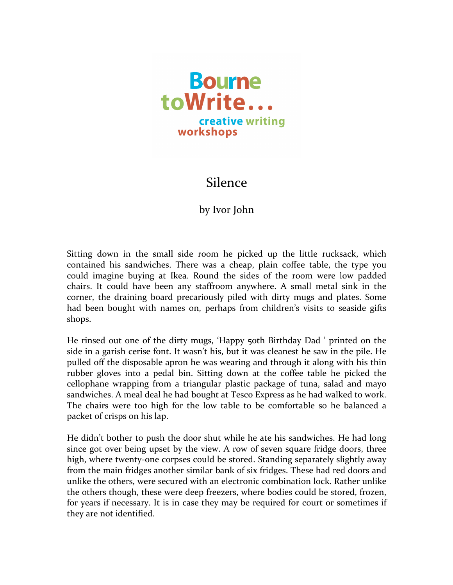

## Silence

## by Ivor John

Sitting down in the small side room he picked up the little rucksack, which contained his sandwiches. There was a cheap, plain coffee table, the type you could imagine buying at Ikea. Round the sides of the room were low padded chairs. It could have been any staffroom anywhere. A small metal sink in the corner, the draining board precariously piled with dirty mugs and plates. Some had been bought with names on, perhaps from children's visits to seaside gifts shops. 

He rinsed out one of the dirty mugs, 'Happy 50th Birthday Dad ' printed on the side in a garish cerise font. It wasn't his, but it was cleanest he saw in the pile. He pulled off the disposable apron he was wearing and through it along with his thin rubber gloves into a pedal bin. Sitting down at the coffee table he picked the cellophane wrapping from a triangular plastic package of tuna, salad and mayo sandwiches. A meal deal he had bought at Tesco Express as he had walked to work. The chairs were too high for the low table to be comfortable so he balanced a packet of crisps on his lap.

He didn't bother to push the door shut while he ate his sandwiches. He had long since got over being upset by the view. A row of seven square fridge doors, three high, where twenty-one corpses could be stored. Standing separately slightly away from the main fridges another similar bank of six fridges. These had red doors and unlike the others, were secured with an electronic combination lock. Rather unlike the others though, these were deep freezers, where bodies could be stored, frozen, for years if necessary. It is in case they may be required for court or sometimes if they are not identified.